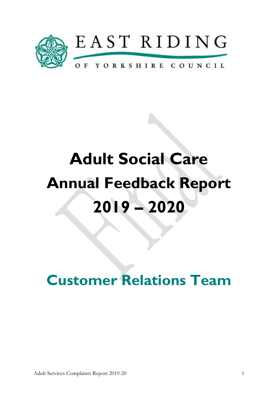

# Adult Social Care Annual Feedback Report 2019 – 2020

Customer Relations Team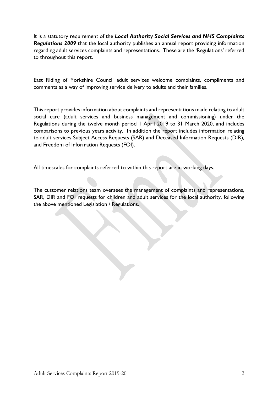It is a statutory requirement of the Local Authority Social Services and NHS Complaints Regulations 2009 that the local authority publishes an annual report providing information regarding adult services complaints and representations. These are the 'Regulations' referred to throughout this report.

East Riding of Yorkshire Council adult services welcome complaints, compliments and comments as a way of improving service delivery to adults and their families.

This report provides information about complaints and representations made relating to adult social care (adult services and business management and commissioning) under the Regulations during the twelve month period 1 April 2019 to 31 March 2020, and includes comparisons to previous years activity. In addition the report includes information relating to adult services Subject Access Requests (SAR) and Deceased Information Requests (DIR), and Freedom of Information Requests (FOI).

All timescales for complaints referred to within this report are in working days.

The customer relations team oversees the management of complaints and representations, SAR, DIR and FOI requests for children and adult services for the local authority, following the above mentioned Legislation / Regulations.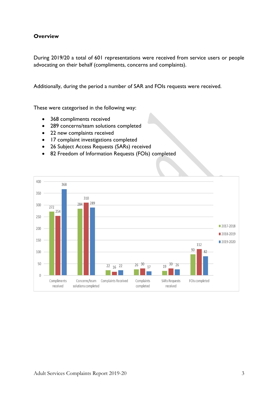# **Overview**

During 2019/20 a total of 601 representations were received from service users or people advocating on their behalf (compliments, concerns and complaints).

Additionally, during the period a number of SAR and FOIs requests were received.

These were categorised in the following way:

- 368 compliments received
- 289 concerns/team solutions completed
- 22 new complaints received
- 17 complaint investigations completed
- 26 Subject Access Requests (SARs) received
- 82 Freedom of Information Requests (FOIs) completed

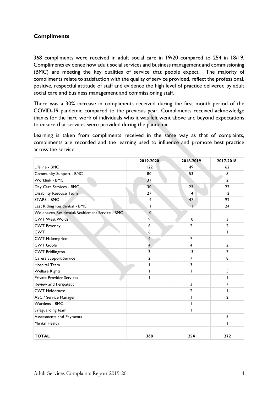# **Compliments**

| 368 compliments were received in adult social care in 19/20 compared to 254 in 18/19.<br>Compliments evidence how adult social services and business management and commissioning<br>(BMC) are meeting the key qualities of service that people expect. The majority of<br>compliments relate to satisfaction with the quality of service provided, reflect the professional,<br>positive, respectful attitude of staff and evidence the high level of practice delivered by adult<br>social care and business management and commissioning staff. |                |                 |                     |
|----------------------------------------------------------------------------------------------------------------------------------------------------------------------------------------------------------------------------------------------------------------------------------------------------------------------------------------------------------------------------------------------------------------------------------------------------------------------------------------------------------------------------------------------------|----------------|-----------------|---------------------|
| There was a 30% increase in compliments received during the first month period of the<br>COVID-19 pandemic compared to the previous year. Compliments received acknowledge<br>thanks for the hard work of individuals who it was felt went above and beyond expectations<br>to ensure that services were provided during the pandemic.<br>Learning is taken from compliments received in the same way as that of complaints,                                                                                                                       |                |                 |                     |
| compliments are recorded and the learning used to influence and promote best practice<br>across the service.                                                                                                                                                                                                                                                                                                                                                                                                                                       |                |                 |                     |
|                                                                                                                                                                                                                                                                                                                                                                                                                                                                                                                                                    |                |                 |                     |
|                                                                                                                                                                                                                                                                                                                                                                                                                                                                                                                                                    | 2019-2020      | 2018-2019       | 2017-2018           |
| Lifeline - BMC                                                                                                                                                                                                                                                                                                                                                                                                                                                                                                                                     | 122            | 49              | 62                  |
| Community Support - BMC<br>Worklink - BMC                                                                                                                                                                                                                                                                                                                                                                                                                                                                                                          | 80<br>37       | 53              | 8<br>$\overline{2}$ |
| Day Care Services - BMC                                                                                                                                                                                                                                                                                                                                                                                                                                                                                                                            | 30             | 25              | 27                  |
| Disability Resouce Team                                                                                                                                                                                                                                                                                                                                                                                                                                                                                                                            | 27             | 4               | 12                  |
| <b>STARS - BMC</b>                                                                                                                                                                                                                                                                                                                                                                                                                                                                                                                                 | 4              | 47              | 92                  |
| East Riding Residential - BMC                                                                                                                                                                                                                                                                                                                                                                                                                                                                                                                      | $\mathsf{L}$   | $\overline{1}$  | 24                  |
| Woldhaven Residential/Reablement Service - BMC                                                                                                                                                                                                                                                                                                                                                                                                                                                                                                     | 10             |                 |                     |
| <b>CWT West Wolds</b>                                                                                                                                                                                                                                                                                                                                                                                                                                                                                                                              | 9              | $\overline{10}$ | 3                   |
| <b>CWT Beverley</b>                                                                                                                                                                                                                                                                                                                                                                                                                                                                                                                                | 6              | $\overline{2}$  | $\mathbf{2}$        |
| <b>CWT</b>                                                                                                                                                                                                                                                                                                                                                                                                                                                                                                                                         | 6              |                 |                     |
| <b>CWT</b> Haltemprice                                                                                                                                                                                                                                                                                                                                                                                                                                                                                                                             | $\overline{4}$ | $\overline{7}$  |                     |
| <b>CWT Goole</b>                                                                                                                                                                                                                                                                                                                                                                                                                                                                                                                                   |                | $\overline{4}$  | $\overline{2}$      |
| <b>CWT Bridlington</b>                                                                                                                                                                                                                                                                                                                                                                                                                                                                                                                             | 3              | $\overline{13}$ | $\overline{7}$      |
| Carers Support Service                                                                                                                                                                                                                                                                                                                                                                                                                                                                                                                             | 2              | $\overline{7}$  | 8                   |
| Hospital Team                                                                                                                                                                                                                                                                                                                                                                                                                                                                                                                                      |                | 3               |                     |
| <b>Welfare Rights</b>                                                                                                                                                                                                                                                                                                                                                                                                                                                                                                                              |                |                 | 5                   |
| <b>Private Provider Services</b>                                                                                                                                                                                                                                                                                                                                                                                                                                                                                                                   |                |                 |                     |
| Review and Peripatetic                                                                                                                                                                                                                                                                                                                                                                                                                                                                                                                             |                | 3               | $\overline{7}$      |
| <b>CWT Holderness</b>                                                                                                                                                                                                                                                                                                                                                                                                                                                                                                                              |                | $\overline{2}$  |                     |
| ASC / Service Manager                                                                                                                                                                                                                                                                                                                                                                                                                                                                                                                              |                |                 | $\overline{2}$      |
| Wardens - BMC                                                                                                                                                                                                                                                                                                                                                                                                                                                                                                                                      |                |                 |                     |
| Safeguarding team                                                                                                                                                                                                                                                                                                                                                                                                                                                                                                                                  |                |                 |                     |
| Assessments and Payments                                                                                                                                                                                                                                                                                                                                                                                                                                                                                                                           |                |                 | 5                   |
| Mental Health                                                                                                                                                                                                                                                                                                                                                                                                                                                                                                                                      |                |                 |                     |
|                                                                                                                                                                                                                                                                                                                                                                                                                                                                                                                                                    |                |                 |                     |
| <b>TOTAL</b>                                                                                                                                                                                                                                                                                                                                                                                                                                                                                                                                       | 368            | 254             | 272                 |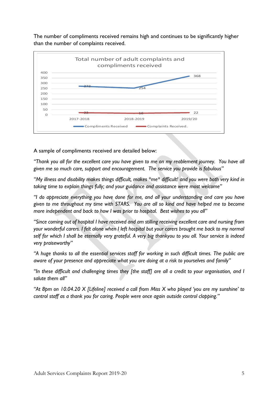The number of compliments received remains high and continues to be significantly higher than the number of complaints received.



A sample of compliments received are detailed below:

"Thank you all for the excellent care you have given to me on my reablement journey. You have all given me so much care, support and encouragement. The service you provide is fabulous"

"My illness and disability makes things difficult, makes \*me\* difficult! and you were both very kind in taking time to explain things fully; and your guidance and assistance were most welcome"

"I do appreciate everything you have done for me, and all your understanding and care you have given to me throughout my time with STARS. You are all so kind and have helped me to become more independent and back to how I was prior to hospital. Best wishes to you all"

"Since coming out of hospital I have received and am stilling receiving excellent care and nursing from your wonderful carers. I felt alone when I left hospital but your carers brought me back to my normal self for which I shall be eternally very grateful. A very big thankyou to you all. Your service is indeed very braiseworthy"

"A huge thanks to all the essential services staff for working in such difficult times. The public are aware of your presence and appreciate what you are doing at a risk to yourselves and family"

"In these difficult and challenging times they [the staff] are all a credit to your organisation, and I salute them all"

"At 8pm on 10.04.20 X [Lifeline] received a call from Miss X who played 'you are my sunshine' to control staff as a thank you for caring. People were once again outside control clapping."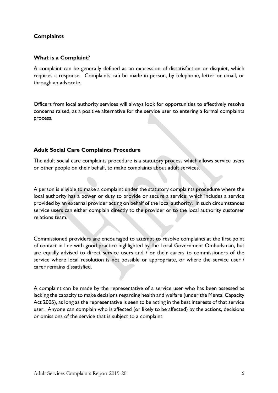# **Complaints**

#### What is a Complaint?

A complaint can be generally defined as an expression of dissatisfaction or disquiet, which requires a response. Complaints can be made in person, by telephone, letter or email, or through an advocate.

Officers from local authority services will always look for opportunities to effectively resolve concerns raised, as a positive alternative for the service user to entering a formal complaints process.

### Adult Social Care Complaints Procedure

The adult social care complaints procedure is a statutory process which allows service users or other people on their behalf, to make complaints about adult services.

A person is eligible to make a complaint under the statutory complaints procedure where the local authority has a power or duty to provide or secure a service; which includes a service provided by an external provider acting on behalf of the local authority. In such circumstances service users can either complain directly to the provider or to the local authority customer relations team.

Commissioned providers are encouraged to attempt to resolve complaints at the first point of contact in line with good practice highlighted by the Local Government Ombudsman, but are equally advised to direct service users and / or their carers to commissioners of the service where local resolution is not possible or appropriate, or where the service user / carer remains dissatisfied.

A complaint can be made by the representative of a service user who has been assessed as lacking the capacity to make decisions regarding health and welfare (under the Mental Capacity Act 2005), as long as the representative is seen to be acting in the best interests of that service user. Anyone can complain who is affected (or likely to be affected) by the actions, decisions or omissions of the service that is subject to a complaint.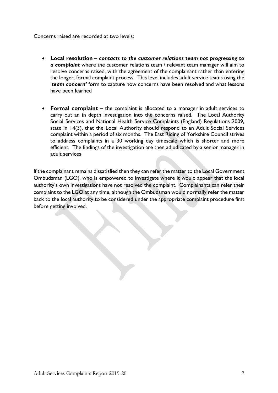Concerns raised are recorded at two levels:

- Local resolution contacts to the customer relations team not progressing to a complaint where the customer relations team / relevant team manager will aim to resolve concerns raised, with the agreement of the complainant rather than entering the longer, formal complaint process. This level includes adult service teams using the 'team concern' form to capture how concerns have been resolved and what lessons have been learned
- Formal complaint the complaint is allocated to a manager in adult services to carry out an in depth investigation into the concerns raised. The Local Authority Social Services and National Health Service Complaints (England) Regulations 2009, state in 14(3), that the Local Authority should respond to an Adult Social Services complaint within a period of six months. The East Riding of Yorkshire Council strives to address complaints in a 30 working day timescale which is shorter and more efficient. The findings of the investigation are then adjudicated by a senior manager in adult services

If the complainant remains dissatisfied then they can refer the matter to the Local Government Ombudsman (LGO), who is empowered to investigate where it would appear that the local authority's own investigations have not resolved the complaint. Complainants can refer their complaint to the LGO at any time, although the Ombudsman would normally refer the matter back to the local authority to be considered under the appropriate complaint procedure first before getting involved.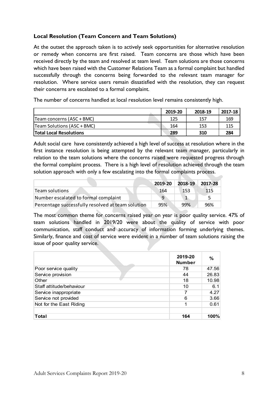# Local Resolution (Team Concern and Team Solutions)

At the outset the approach taken is to actively seek opportunities for alternative resolution or remedy when concerns are first raised. Team concerns are those which have been received directly by the team and resolved at team level. Team solutions are those concerns which have been raised with the Customer Relations Team as a formal complaint but handled successfully through the concerns being forwarded to the relevant team manager for resolution. Where service users remain dissatisfied with the resolution, they can request their concerns are escalated to a formal complaint. Local Resolution (Team Concern and Team Solutions)<br>
At the outset the approach taken is to actively seek opportunities for alternative resolution<br>
or remedy when concerns are first raised. Team concerns are those which hav Local Resolution (Team Concern and Team Solutions)<br>
At the outset the approach taken is to actively seek opportunities for alternative resolution<br>
or remew when concerns are first raised. Team concerns are those which have **Local Resolution (Team Concern and Team Solutions)**<br>
At the outset the approach taken is to actively seek opportunities for alternative resolution<br>
or remedy when concerns are first raised. Team concerns are those which h **Local Resolution (Team Concern and Team Solutions)**<br>
At the outset the approach taken is to actively seek opportunities for alternative resolution<br>
or remedy when concerns are first raised. Team concerns are those which h

The number of concerns handled at local resolution level remains consistently high.

|                                | 2019-20 | 2018-19 | 2017-18 |
|--------------------------------|---------|---------|---------|
| Team concerns (ASC + BMC)      | 125     | 157     | 169     |
| Team Solutions (ASC + BMC)     | 164     | 153     | 115     |
| <b>Total Local Resolutions</b> | 289     | 310     | 284     |

Adult social care have consistently achieved a high level of success at resolution where in the first instance resolution is being attempted by the relevant team manager, particularly in relation to the team solutions where the concerns raised were requested progress through the formal complaint process. There is a high level of resolution achieved through the team solution approach with only a few escalating into the formal complaints process. Team as a formal complaint but handled<br>
d to the relevant team manager for<br>
with the resolution, they can request<br>
evel remains consistently high.<br>
2019-20 2018-19 2017-18<br>
125 157 169<br>
164 153 115<br>
289 310 284<br>
vel of suc successfully through the concerns being forwarded to the relevant team manager for<br>
resolution. Where service users remain dissaisfied with the resolution, they can request<br>
cheric concerns are escalated to a formal compla resolution. Where service users remain dissatisfied with the resolution, they can request<br>
their concerns are escalated to a formal complaint.<br>
The number of concerns handled at local resolution level remains consistently The monderns are escalated to a formal complaint.<br>
The number of concerns handled at local resolution level remains consistently high.<br>
Team concerns (ASC + BMC)<br>
Team Solutions (ASC + BMC)<br>
Team Solutions (ASC + BMC)<br>
Tea

|                                                   | 2019-20 | 2018-19 | 2017-28 |
|---------------------------------------------------|---------|---------|---------|
| Team solutions                                    | 164     | -153    | 115     |
| Number escalated to formal complaint              | q       |         |         |
| Percentage successfully resolved at team solution | 95%     | 99%     | 96%     |

|                                                                                                                                                                                                                        | 2019-20 | 2018-19        | 2017-28       |
|------------------------------------------------------------------------------------------------------------------------------------------------------------------------------------------------------------------------|---------|----------------|---------------|
| Team solutions                                                                                                                                                                                                         | 164     | 153            | 115           |
| Number escalated to formal complaint                                                                                                                                                                                   | 9       | $\mathbf{1}$   | 5.            |
| Percentage successfully resolved at team solution                                                                                                                                                                      | 95%     | 99%            | 96%           |
|                                                                                                                                                                                                                        |         |                |               |
| communication, staff conduct and accuracy of information forming underlying themes.<br>Similarly, finance and cost of service were evident in a number of team solutions raising the<br>issue of poor quality service. |         | 2019-20        | $\frac{0}{0}$ |
|                                                                                                                                                                                                                        |         | <b>Number</b>  |               |
| Poor service quality                                                                                                                                                                                                   |         | 78             | 47.56         |
| Service provision                                                                                                                                                                                                      |         | 44             | 26.83         |
| Other<br>Staff attitude/behaviour                                                                                                                                                                                      |         | 18<br>10       | 10.98<br>6.1  |
| Service inappropriate                                                                                                                                                                                                  |         | $\overline{7}$ | 4.27          |
| Service not provided                                                                                                                                                                                                   |         | 6              | 3.66          |
| Not for the East Riding                                                                                                                                                                                                |         | 1              | 0.61          |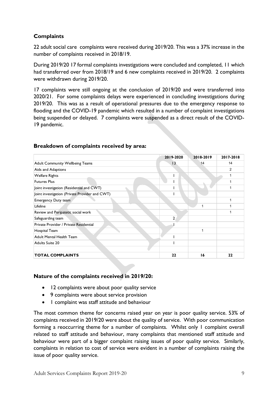# **Complaints**

22 adult social care complaints were received during 2019/20. This was a 37% increase in the number of complaints received in 2018/19.

17 complaints were still ongoing at the conclusion of 2019/20 and were transferred into 2020/21. For some complaints delays were experienced in concluding investigations during 2019/20. This was as a result of operational pressures due to the emergency response to flooding and the COVID-19 pandemic which resulted in a number of complaint investigations being suspended or delayed. 7 complaints were suspended as a direct result of the COVID-19 pandemic. ints were received during 2019/20. This was a 37% increase in the<br>ved in 2018/19.<br>
omplaints investigations were concluded and completed, 11 which<br>
2020.<br>
2020.<br>
9/20.<br>
Ingoing at the conclusion of 2019/20 and were transfe 22 adult social care complaints were received during 2019/20. This was a 37% increase in the<br>number of complaints received in 2018/19.<br>During 2019/20 17 formal complaints investigations were concluded and completed, 11 wh

| During 2019/20 17 formal complaints investigations were concluded and completed, 11 which<br>had transferred over from 2018/19 and 6 new complaints received in 2019/20. 2 complaints<br>were withdrawn during 2019/20.                                                                                                                                                                                                                                                                 |                |              |                |
|-----------------------------------------------------------------------------------------------------------------------------------------------------------------------------------------------------------------------------------------------------------------------------------------------------------------------------------------------------------------------------------------------------------------------------------------------------------------------------------------|----------------|--------------|----------------|
| 17 complaints were still ongoing at the conclusion of 2019/20 and were transferred into<br>2020/21. For some complaints delays were experienced in concluding investigations during<br>2019/20. This was as a result of operational pressures due to the emergency response to<br>flooding and the COVID-19 pandemic which resulted in a number of complaint investigations<br>being suspended or delayed. 7 complaints were suspended as a direct result of the COVID-<br>19 pandemic. |                |              |                |
| Breakdown of complaints received by area:                                                                                                                                                                                                                                                                                                                                                                                                                                               | 2019-2020      | 2018-2019    | 2017-2018      |
| Adult Community Wellbeing Teams                                                                                                                                                                                                                                                                                                                                                                                                                                                         | 13             | 14           | 14             |
|                                                                                                                                                                                                                                                                                                                                                                                                                                                                                         |                |              | $\overline{2}$ |
|                                                                                                                                                                                                                                                                                                                                                                                                                                                                                         |                |              |                |
|                                                                                                                                                                                                                                                                                                                                                                                                                                                                                         |                |              | $\mathbf{1}$   |
|                                                                                                                                                                                                                                                                                                                                                                                                                                                                                         |                |              | $\mathbf{1}$   |
|                                                                                                                                                                                                                                                                                                                                                                                                                                                                                         |                |              | $\mathbf{1}$   |
|                                                                                                                                                                                                                                                                                                                                                                                                                                                                                         |                |              |                |
| Aids and Adaptions<br><b>Welfare Rights</b><br><b>Futures Plus</b><br>Joint investigation (Residential and CWT)<br>Joint investigation (Private Provider and CWT)<br>Emergency Duty team                                                                                                                                                                                                                                                                                                |                |              | $\mathbf{1}$   |
| Lifeline                                                                                                                                                                                                                                                                                                                                                                                                                                                                                |                | $\mathbf{1}$ | $\mathbf{1}$   |
| Review and Peripatetic social work                                                                                                                                                                                                                                                                                                                                                                                                                                                      |                |              | $\mathbf{1}$   |
| Safeguarding team                                                                                                                                                                                                                                                                                                                                                                                                                                                                       | $\overline{2}$ |              |                |
| Private Provider / Private Residential                                                                                                                                                                                                                                                                                                                                                                                                                                                  |                |              |                |
| Hospital Team                                                                                                                                                                                                                                                                                                                                                                                                                                                                           |                | $\mathbf{1}$ |                |
| Adult Mental Health Team                                                                                                                                                                                                                                                                                                                                                                                                                                                                |                |              |                |
| <b>Adults Suite 20</b>                                                                                                                                                                                                                                                                                                                                                                                                                                                                  |                |              |                |

### Breakdown of complaints received by area:

### Nature of the complaints received in 2019/20:

- 12 complaints were about poor quality service
- 9 complaints were about service provision
- I complaint was staff attitude and behaviour

The most common theme for concerns raised year on year is poor quality service. 53% of complaints received in 2019/20 were about the quality of service. With poor communication forming a reoccurring theme for a number of complaints. Whilst only 1 complaint overall related to staff attitude and behaviour, many complaints that mentioned staff attitude and behaviour were part of a bigger complaint raising issues of poor quality service. Similarly, complaints in relation to cost of service were evident in a number of complaints raising the issue of poor quality service.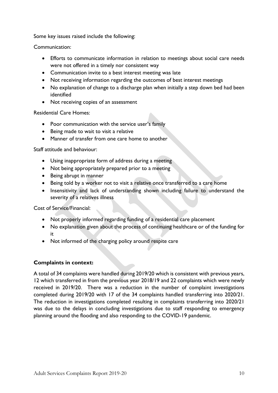Some key issues raised include the following:

Communication:

- Efforts to communicate information in relation to meetings about social care needs were not offered in a timely nor consistent way
- Communication invite to a best interest meeting was late
- Not receiving information regarding the outcomes of best interest meetings
- No explanation of change to a discharge plan when initially a step down bed had been identified
- Not receiving copies of an assessment

Residential Care Homes:

- Poor communication with the service user's family
- Being made to wait to visit a relative
- Manner of transfer from one care home to another

Staff attitude and behaviour:

- Using inappropriate form of address during a meeting
- Not being appropriately prepared prior to a meeting
- Being abrupt in manner
- Being told by a worker not to visit a relative once transferred to a care home
- Insensitivity and lack of understanding shown including failure to understand the severity of a relatives illness

Cost of Service/Financial:

- Not properly informed regarding funding of a residential care placement
- No explanation given about the process of continuing healthcare or of the funding for it
- Not informed of the charging policy around respite care

#### Complaints in context:

A total of 34 complaints were handled during 2019/20 which is consistent with previous years, 12 which transferred in from the previous year 2018/19 and 22 complaints which were newly received in 2019/20. There was a reduction in the number of complaint investigations completed during 2019/20 with 17 of the 34 complaints handled transferring into 2020/21. The reduction in investigations completed resulting in complaints transferring into 2020/21 was due to the delays in concluding investigations due to staff responding to emergency planning around the flooding and also responding to the COVID-19 pandemic.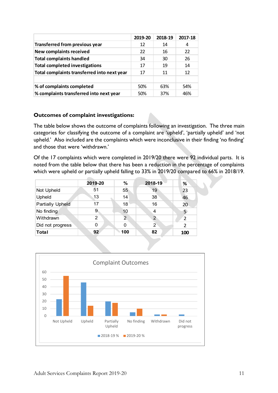|                                              | 2019-20 | 2018-19 | 2017-18 |
|----------------------------------------------|---------|---------|---------|
| <b>Transferred from previous year</b>        | 12      | 14      | 4       |
| <b>New complaints received</b>               | 22      | 16      | 22      |
| <b>Total complaints handled</b>              | 34      | 30      | 26      |
| <b>Total completed investigations</b>        | 17      | 19      | 14      |
| Total complaints transferred into next year  | 17      | 11      | 12      |
|                                              |         |         |         |
| % of complaints completed                    | 50%     | 63%     | 54%     |
|                                              |         |         |         |
| % complaints transferred into next year      | 50%     | 37%     | 46%     |
|                                              |         |         |         |
| <b>Outcomes of complaint investigations:</b> |         |         |         |

# Outcomes of complaint investigations:

| Total complaints transferred into next year                                                                                                                                                                                                                                                                                     |                | 17             | 11              | 12             |
|---------------------------------------------------------------------------------------------------------------------------------------------------------------------------------------------------------------------------------------------------------------------------------------------------------------------------------|----------------|----------------|-----------------|----------------|
| % of complaints completed                                                                                                                                                                                                                                                                                                       |                | 50%            | 63%             | 54%            |
| % complaints transferred into next year                                                                                                                                                                                                                                                                                         |                | 50%            | 37%             | 46%            |
| <b>Outcomes of complaint investigations:</b><br>The table below shows the outcome of complaints following an investigation. The three main                                                                                                                                                                                      |                |                |                 |                |
| categories for classifying the outcome of a complaint are 'upheld', 'partially upheld' and 'not                                                                                                                                                                                                                                 |                |                |                 |                |
| upheld.' Also included are the complaints which were inconclusive in their finding 'no finding'<br>and those that were 'withdrawn.'<br>Of the 17 complaints which were completed in 2019/20 there were 92 individual parts. It is<br>noted from the table below that there has been a reduction in the percentage of complaints |                |                |                 |                |
| which were upheld or partially upheld falling to 33% in 2019/20 compared to 66% in 2018/19.                                                                                                                                                                                                                                     | 2019-20        | $\%$           | 2018-19         | %              |
| Not Upheld                                                                                                                                                                                                                                                                                                                      | 51             | 55             | 19              | 23             |
| Upheld                                                                                                                                                                                                                                                                                                                          | 13             | 14             | 38 <sup>°</sup> | 46             |
| <b>Partially Upheld</b>                                                                                                                                                                                                                                                                                                         | 17             | 18             | 16              | 20             |
| No finding                                                                                                                                                                                                                                                                                                                      | 9 <sub>o</sub> | 10             | 4               | $5^{\circ}$    |
| Withdrawn                                                                                                                                                                                                                                                                                                                       | $\overline{2}$ | $\overline{2}$ | $\overline{2}$  | $\overline{2}$ |
| Did not progress                                                                                                                                                                                                                                                                                                                | $\mathbf 0$    | $\mathbf{0}$   | $\overline{2}$  | $\overline{2}$ |

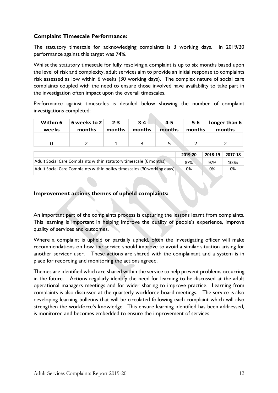# Complaint Timescale Performance:

The statutory timescale for acknowledging complaints is 3 working days. In 2019/20 performance against this target was 74%.

Whilst the statutory timescale for fully resolving a complaint is up to six months based upon the level of risk and complexity, adult services aim to provide an initial response to complaints risk assessed as low within 6 weeks (30 working days). The complex nature of social care complaints coupled with the need to ensure those involved have availability to take part in the investigation often impact upon the overall timescales. erformance against this target was 74%.<br>
Whilst the statutory timescale for fully resvolving a complaint is up to six months based upon<br>
the level of risk and complexity, adult services aim to provide an initial response t

Performance against timescales is detailed below showing the number of complaint investigations completed:

| Within 6<br>weeks | 6 weeks to 2<br>months | $2 - 3$<br>months | $3 - 4$<br>months | $4 - 5$<br>months | $5-6$<br>months | $longer$ than 6<br>months |
|-------------------|------------------------|-------------------|-------------------|-------------------|-----------------|---------------------------|
|                   |                        |                   |                   |                   |                 |                           |
|                   |                        |                   |                   |                   |                 |                           |

|                                                                         | 2019-20 | 2018-19 | 2017-18 |
|-------------------------------------------------------------------------|---------|---------|---------|
| Adult Social Care Complaints within statutory timescale (6 months)      | 87%     | 97%     | 100%    |
| Adult Social Care Complaints within policy timescales (30 working days) | 0%      | 0%      | 0%      |

# Improvement actions themes of upheld complaints:

An important part of the complaints process is capturing the lessons learnt from complaints. This learning is important in helping improve the quality of people's experience, improve quality of services and outcomes.

Where a complaint is upheld or partially upheld, often the investigating officer will make recommendations on how the service should improve to avoid a similar situation arising for another servicer user. These actions are shared with the complainant and a system is in place for recording and monitoring the actions agreed.

Themes are identified which are shared within the service to help prevent problems occurring in the future. Actions regularly identify the need for learning to be discussed at the adult operational managers meetings and for wider sharing to improve practice. Learning from complaints is also discussed at the quarterly workforce board meetings. The service is also developing learning bulletins that will be circulated following each complaint which will also strengthen the workforce's knowledge. This ensure learning identified has been addressed, is monitored and becomes embedded to ensure the improvement of services.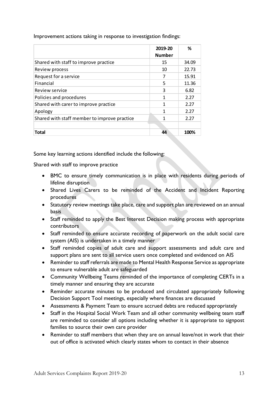| Improvement actions taking in response to investigation findings: |                |       |
|-------------------------------------------------------------------|----------------|-------|
|                                                                   | 2019-20        | $\%$  |
|                                                                   | <b>Number</b>  |       |
| Shared with staff to improve practice                             | 15             | 34.09 |
| Review process                                                    | 10             | 22.73 |
| Request for a service                                             | $\overline{7}$ | 15.91 |
| Financial                                                         | 5              | 11.36 |
| Review service                                                    | 3              | 6.82  |
| Policies and procedures                                           | $\mathbf{1}$   | 2.27  |
| Shared with carer to improve practice                             | $\mathbf{1}$   | 2.27  |
| Apology                                                           | $\mathbf{1}$   | 2.27  |
|                                                                   | $\mathbf{1}$   | 2.27  |
|                                                                   |                |       |
| Shared with staff member to improve practice                      |                |       |
| <b>Total</b>                                                      | 44             | 100%  |

- BMC to ensure timely communication is in place with residents during periods of lifeline disruption
- Shared Lives Carers to be reminded of the Accident and Incident Reporting procedures
- Statutory review meetings take place, care and support plan are reviewed on an annual basis
- Staff reminded to apply the Best Interest Decision making process with appropriate contributors
- Staff reminded to ensure accurate recording of paperwork on the adult social care system (AIS) is undertaken in a timely manner
- Staff reminded copies of adult care and support assessments and adult care and support plans are sent to all service users once completed and evidenced on AIS
- Reminder to staff referrals are made to Mental Health Response Service as appropriate to ensure vulnerable adult are safeguarded
- Community Wellbeing Teams reminded of the importance of completing CERTs in a timely manner and ensuring they are accurate
- Reminder accurate minutes to be produced and circulated appropriately following Decision Support Tool meetings, especially where finances are discussed
- Assessments & Payment Team to ensure accrued debts are reduced appropriately
- Staff in the Hospital Social Work Team and all other community wellbeing team staff are reminded to consider all options including whether it is appropriate to signpost families to source their own care provider
- Reminder to staff members that when they are on annual leave/not in work that their out of office is activated which clearly states whom to contact in their absence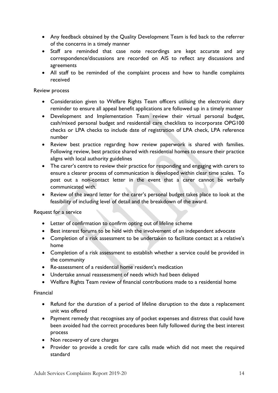- Any feedback obtained by the Quality Development Team is fed back to the referrer of the concerns in a timely manner
- Staff are reminded that case note recordings are kept accurate and any correspondence/discussions are recorded on AIS to reflect any discussions and agreements
- All staff to be reminded of the complaint process and how to handle complaints received

#### Review process

- Consideration given to Welfare Rights Team officers utilising the electronic diary reminder to ensure all appeal benefit applications are followed up in a timely manner
- Development and Implementation Team review their virtual personal budget, cash/mixed personal budget and residential care checklists to incorporate OPG100 checks or LPA checks to include date of registration of LPA check, LPA reference number
- Review best practice regarding how review paperwork is shared with families. Following review, best practice shared with residential homes to ensure their practice aligns with local authority guidelines
- The carer's centre to review their practice for responding and engaging with carers to ensure a clearer process of communication is developed within clear time scales. To post out a non-contact letter in the event that a carer cannot be verbally communicated with.
- Review of the award letter for the carer's personal budget takes place to look at the feasibility of including level of detail and the breakdown of the award.

### Request for a service

- Letter of confirmation to confirm opting out of lifeline scheme
- Best interest forums to be held with the involvement of an independent advocate
- Completion of a risk assessment to be undertaken to facilitate contact at a relative's home
- Completion of a risk assessment to establish whether a service could be provided in the community
- Re-assessment of a residential home resident's medication
- Undertake annual reassessment of needs which had been delayed
- Welfare Rights Team review of financial contributions made to a residential home

### Financial

- Refund for the duration of a period of lifeline disruption to the date a replacement unit was offered
- Payment remedy that recognises any of pocket expenses and distress that could have been avoided had the correct procedures been fully followed during the best interest process
- Non recovery of care charges
- Provider to provide a credit for care calls made which did not meet the required standard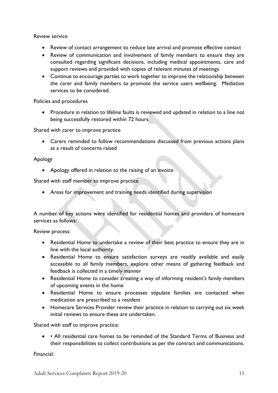Review service

- Review of contact arrangement to reduce late arrival and promote effective contact
- Review of communication and involvement of family members to ensure they are consulted regarding significant decisions, including medical appointments, care and support reviews and provided with copies of relevant minutes of meetings
- Continue to encourage parties to work together to improve the relationship between the carer and family members to promote the service users wellbeing. Mediation services to be considered.

Policies and procedures

 Procedure in relation to lifeline faults is reviewed and updated in relation to a line not being successfully restored within 72 hours

Shared with carer to improve practice

 Carers reminded to follow recommendations discussed from previous actions plans as a result of concerns raised

### Apology

Apology offered in relation to the raising of an invoice

Shared with staff member to improve practice

Areas for improvement and training needs identified during supervision

A number of key actions were identified for residential homes and providers of homecare services as follows:

Review process:

- Residential Home to undertake a review of their best practice to ensure they are in line with the local authority.
- Residential Home to ensure satisfaction surveys are readily available and easily accessible to all family members, explore other means of gathering feedback and feedback is collected in a timely manner
- Residential Home to consider creating a way of informing resident's family members of upcoming events in the home
- Residential Home to ensure processes stipulate families are contacted when medication are prescribed to a resident
- Homecare Services Provider review their practice in relation to carrying out six week initial reviews to ensure these are undertaken.

Shared with staff to improve practice:

• • All residential care homes to be reminded of the Standard Terms of Business and their responsibilities to collect contributions as per the contract and communications.

Financial: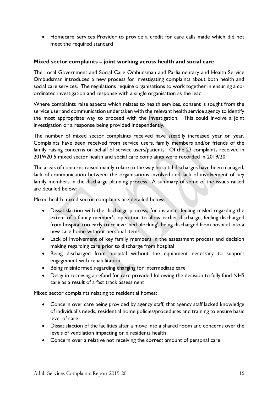Homecare Services Provider to provide a credit for care calls made which did not meet the required standard

## Mixed sector complaints – joint working across health and social care

The Local Government and Social Care Ombudsman and Parliamentary and Health Service Ombudsman introduced a new process for investigating complaints about both health and social care services. The regulations require organisations to work together in ensuring a coordinated investigation and response with a single organisation as the lead.

Where complaints raise aspects which relates to health services, consent is sought from the service user and communication undertaken with the relevant health service agency to identify the most appropriate way to proceed with the investigation. This could involve a joint investigation or a response being provided independently.

The number of mixed sector complaints received have steadily increased year on year. Complaints have been received from service users, family members and/or friends of the family raising concerns on behalf of service users/patients. Of the 23 complaints received in 2019/20 5 mixed sector health and social care complaints were recorded in 2019/20.

The areas of concerns raised mainly relate to the way hospital discharges have been managed, lack of communication between the organisations involved and lack of involvement of key family members in the discharge planning process. A summary of some of the issues raised are detailed below:

Mixed health mixed sector complaints are detailed below:

- Dissatisfaction with the discharge process, for instance, feeling misled regarding the extent of a family member's operation to allow earlier discharge, feeling discharged from hospital too early to relieve 'bed blocking', being discharged from hospital into a new care home without personal items
- Lack of involvement of key family members in the assessment process and decision making regarding care prior to discharge from hospital
- Being discharged from hospital without the equipment necessary to support engagement with rehabilitation
- Being misinformed regarding charging for intermediate care
- Delay in receiving a refund for care provided following the decision to fully fund NHS care as a result of a fast track assessment

Mixed sector complaints relating to residential homes:

- Concern over care being provided by agency staff, that agency staff lacked knowledge of individual's needs, residential home policies/procedures and training to ensure basic level of care
- Dissatisfaction of the facilities after a move into a shared room and concerns over the levels of ventilation impacting on a residents health
- Concern over a relative not receiving the correct amount of personal care